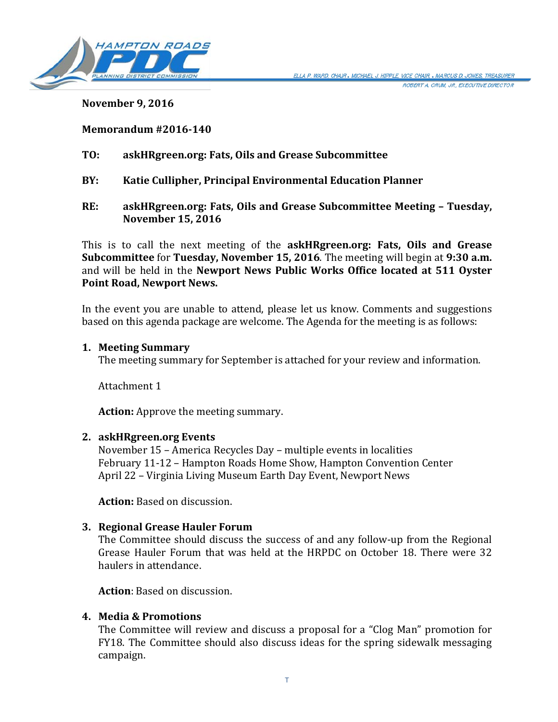

**November 9, 2016**

### **Memorandum #2016-140**

- **TO: askHRgreen.org: Fats, Oils and Grease Subcommittee**
- **BY: Katie Cullipher, Principal Environmental Education Planner**
- **RE: askHRgreen.org: Fats, Oils and Grease Subcommittee Meeting – Tuesday, November 15, 2016**

This is to call the next meeting of the **askHRgreen.org: Fats, Oils and Grease Subcommittee** for **Tuesday, November 15, 2016**. The meeting will begin at **9:30 a.m.** and will be held in the **Newport News Public Works Office located at 511 Oyster Point Road, Newport News.**

In the event you are unable to attend, please let us know. Comments and suggestions based on this agenda package are welcome. The Agenda for the meeting is as follows:

#### **1. Meeting Summary**

The meeting summary for September is attached for your review and information.

Attachment 1

**Action:** Approve the meeting summary.

#### **2. askHRgreen.org Events**

November 15 – America Recycles Day – multiple events in localities February 11-12 – Hampton Roads Home Show, Hampton Convention Center April 22 – Virginia Living Museum Earth Day Event, Newport News

**Action:** Based on discussion.

# **3. Regional Grease Hauler Forum**

The Committee should discuss the success of and any follow-up from the Regional Grease Hauler Forum that was held at the HRPDC on October 18. There were 32 haulers in attendance.

**Action**: Based on discussion.

#### **4. Media & Promotions**

The Committee will review and discuss a proposal for a "Clog Man" promotion for FY18. The Committee should also discuss ideas for the spring sidewalk messaging campaign.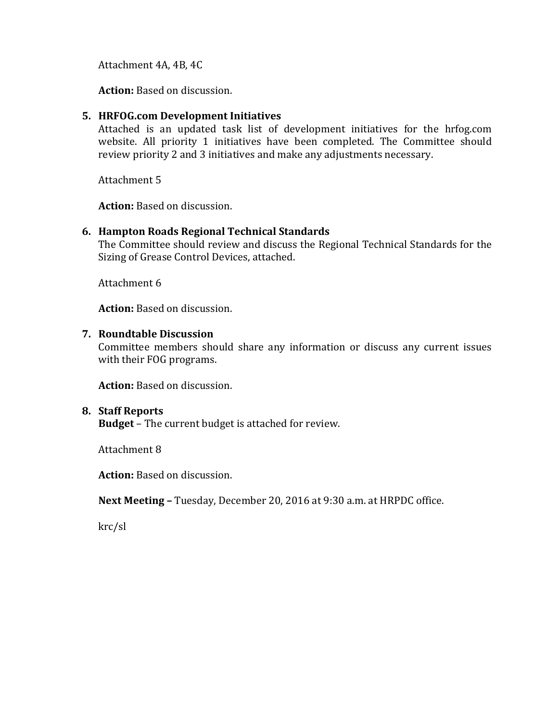Attachment 4A, 4B, 4C

**Action:** Based on discussion.

#### **5. HRFOG.com Development Initiatives**

Attached is an updated task list of development initiatives for the hrfog.com website. All priority 1 initiatives have been completed. The Committee should review priority 2 and 3 initiatives and make any adjustments necessary.

Attachment 5

**Action:** Based on discussion.

## **6. Hampton Roads Regional Technical Standards**

The Committee should review and discuss the Regional Technical Standards for the Sizing of Grease Control Devices, attached.

Attachment 6

**Action:** Based on discussion.

#### **7. Roundtable Discussion**

Committee members should share any information or discuss any current issues with their FOG programs.

**Action:** Based on discussion.

#### **8. Staff Reports**

**Budget** – The current budget is attached for review.

Attachment 8

**Action:** Based on discussion.

**Next Meeting –** Tuesday, December 20, 2016 at 9:30 a.m. at HRPDC office.

krc/sl